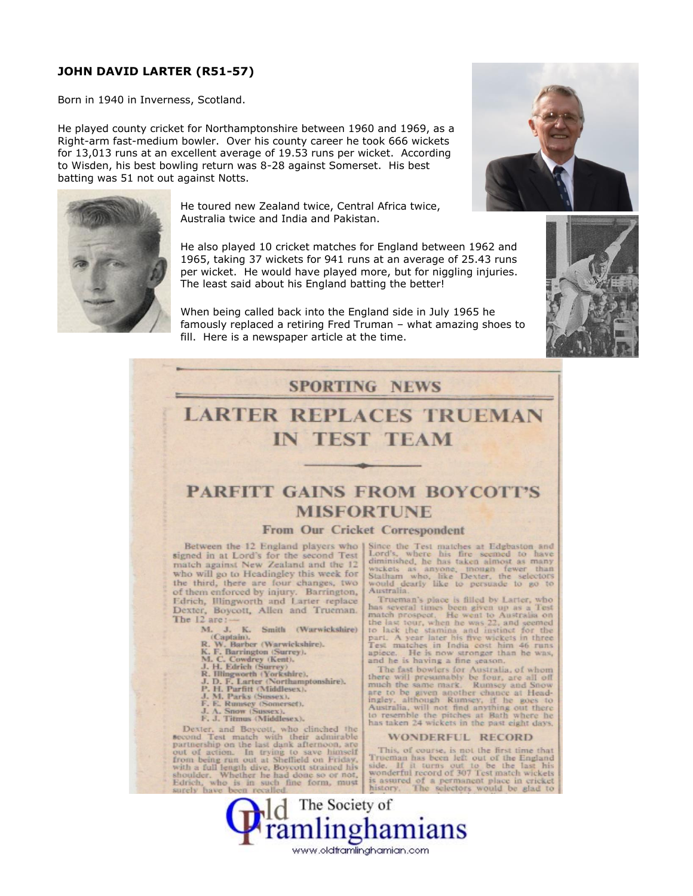#### **JOHN DAVID LARTER (R51-57)**

Born in 1940 in Inverness, Scotland.

He played county cricket for Northamptonshire between 1960 and 1969, as a Right-arm fast-medium bowler. Over his county career he took 666 wickets for 13,013 runs at an excellent average of 19.53 runs per wicket. According to Wisden, his best bowling return was 8-28 against Somerset. His best batting was 51 not out against Notts.



He toured new Zealand twice, Central Africa twice, Australia twice and India and Pakistan.

He also played 10 cricket matches for England between 1962 and 1965, taking 37 wickets for 941 runs at an average of 25.43 runs per wicket. He would have played more, but for niggling injuries. The least said about his England batting the better!

When being called back into the England side in July 1965 he famously replaced a retiring Fred Truman - what amazing shoes to fill. Here is a newspaper article at the time.







# **LARTER REPLACES TRUEMAN IN TEST TEAM**

## **PARFITT GAINS FROM BOYCOTT'S MISFORTUNE**

#### From Our Cricket Correspondent

Between the 12 England players who J signed in at Lord's for the second Test match against New Zealand and the 12 who will go to Headingley this week for the third, there are four changes, two of them enforced by injury. Barrington, Edrich, Illingworth and Larter replace Dexter, Boycott, Allen and Trueman.<br>The 12 are:-

- 12 are :<br>
M. J. K. Smith (Warwickshire)<br>
(Captain),<br>
R. W. Barber (Warwickshire),<br>
K. F. Barrington (Surrey),<br>
M. C. Cowdrey (Kent),<br>
J. H. Edrich (Surrey),<br>
R. Hingworth (Yorkshire),<br>
J. D. F. Larter (Northamptonshire),<br>
- 
- 
- 
- 
- 
- 
- 
- 
- 

Dexter, and Boycott, who clinched the<br>second Test match with their admirable<br>partnership on the last dank afternoon, are out of action. In trying to save himself from being run out at Shellield on Friday, Following Fan out at Streamen to a Friday Report of the shoulder. Whether he had done so or not.<br>Edrich, who is in such fine form, must<br>Edrich, who is in such fine form, must Since the Test matches at Edgbaston and Lord's, where his fire seemed to have diminished, he has taken almost as many wickets as anyone, mough fewer than<br>Statham who, like Dexter, the selectors<br>would dearly like to persuade to go to Australia.

Australia.<br>Trueman's place is filled by Latter, who<br>has several times been given up as a Test<br>match prospect. He went to Australia on<br>the last tour, when he was 22, and seemed<br>to lack the stamina and instinct for the<br>part.

The fast bowlers for Australia, of whom<br>there will presumably be four, are all off<br>much the same mark. Rumsey and Snow are to be given another chance at Head-<br>ingley, although Rumsey, if he goes to Australia, will not find anything out there at<br>to resemble the pitches at Bath where he has taken 24 wickets in the past eight days.

#### **WONDERFUL RECORD**

This, of course, is not the first time that Thus, of course, is not the first under<br>Side. If it turns out to be the England<br>side. If it turns out to be the last his<br>wonderful record of 307 Test match wickets<br>is assured of a permanent place in cricket<br>history. The se

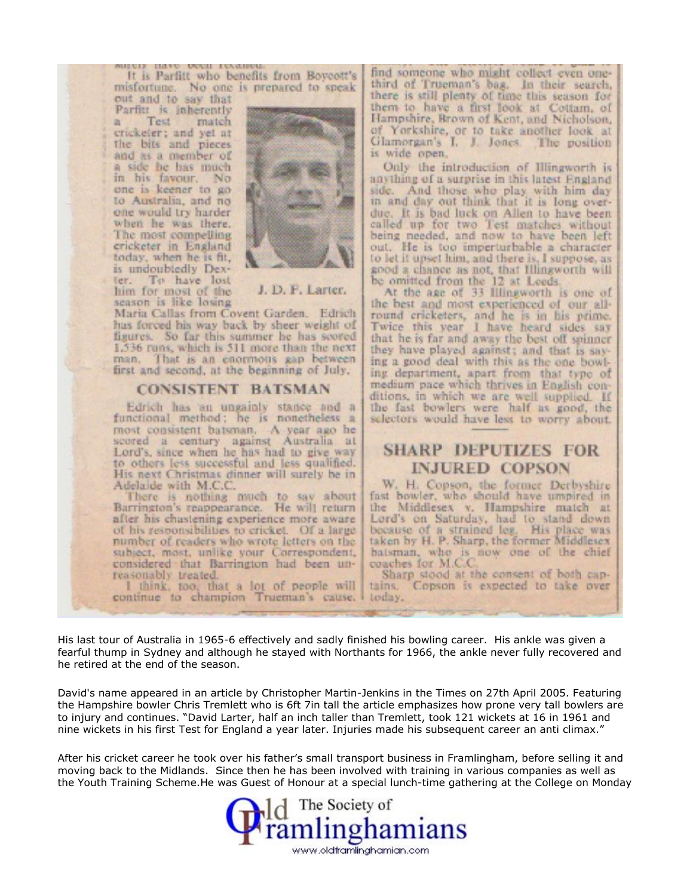ALCCC RT It is Parfitt who benefits from Boycott's misfortune. No one is prepared to speak out and to say that

**DOME 17** 

Parfitt is inherently Test  $\alpha$ match cricketer; and yet at the bits and pieces and as a member of a side he has much in his favour. No one is keener to go to Australia, and no one would try harder when he was there. The most compelling cricketer in England today, when he is fit, is undoubtedly Dexter. To have lost<br>him for most of the season is like losing



J. D. F. Larter.

Maria Callas from Covent Garden. Edrich has forced his way back by sheer weight of figures. So far this summer he has scored 1,536 runs, which is 511 more than the next man. That is an enormous gap between first and second, at the beginning of July.

#### **CONSISTENT BATSMAN**

Edrich has an ungainly stance and a functional method; he is nonetheless a most consistent batsman. A year ago he scored a century against Australia at Lord's, since when he has had to give way to others less successful and less qualified. His next Christmas dinner will surely be in Adelaide with M.C.C.

There is nothing much to say about<br>Barrington's reappearance. He will return after his chastening experience more aware of his responsibilities to cricket. Of a large number of readers who wrote letters on the subject, most, unlike your Correspondent, considered that Barrington had been unreasonably treated.

I think, too, that a lot of people will continue to champion Trueman's cause. find someone who might collect even onethird of Trueman's bag. In their search, there is still plenty of time this season for them to have a first look at Cottam, of Hampshire, Brown of Kent, and Nicholson, of Yorkshire, or to take another look at Glamorgan's I. J. Jones. The position is wide open.

Only the introduction of Illingworth is anything of a surprise in this latest England side. And those who play with him day in and day out think that it is long overdue. It is bad luck on Allen to have been called up for two Test matches without being needed, and now to have been left out. He is too imperturbable a character to let it upset him, and there is, I suppose, as good a chance as not, that Illingworth will be omitted from the 12 at Leeds.<br>At the age of 33 Illingworth is one of

the best and most experienced of our allround cricketers, and he is in his prime.<br>Twice this year I have heard sides say that he is far and away the best off spinner they have played against; and that is saying a good deal with this as the one bowling department, apart from that type of medium pace which thrives in English conditions, in which we are well supplied. If the fast bowlers were half as good, the selectors would have less to worry about.

### **SHARP DEPUTIZES FOR INJURED COPSON**

W. H. Copson, the former Derbyshire fast bowler, who should have umpired in the Middlesex v. Hampshire match at Lord's on Saturday, had to stand down<br>because of a strained leg. His place was taken by H. P. Sharp, the former Middlesex batsman, who is now one of the chief coaches for M.C.C.

Sharp stood at the consent of both cantains. Copson is expected to take over today.

His last tour of Australia in 1965-6 effectively and sadly finished his bowling career. His ankle was given a fearful thump in Sydney and although he stayed with Northants for 1966, the ankle never fully recovered and he retired at the end of the season.

David's name appeared in an article by Christopher Martin-Jenkins in the Times on 27th April 2005. Featuring the Hampshire bowler Chris Tremlett who is 6ft 7in tall the article emphasizes how prone very tall bowlers are to injury and continues. "David Larter, half an inch taller than Tremlett, took 121 wickets at 16 in 1961 and nine wickets in his first Test for England a year later. Injuries made his subsequent career an anti climax."

After his cricket career he took over his father's small transport business in Framlingham, before selling it and moving back to the Midlands. Since then he has been involved with training in various companies as well as the Youth Training Scheme. He was Guest of Honour at a special lunch-time gathering at the College on Monday

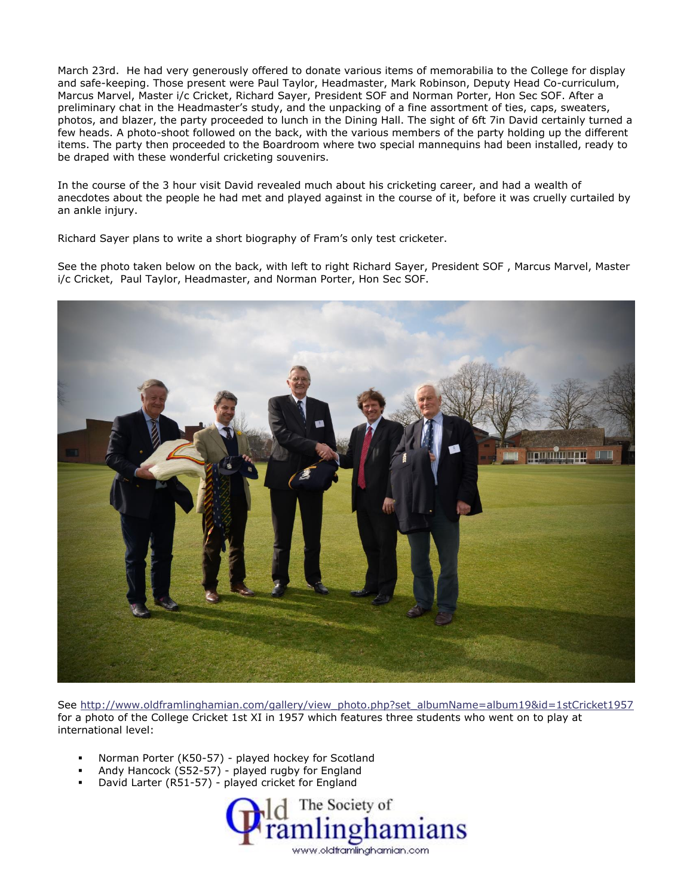March 23rd. He had very generously offered to donate various items of memorabilia to the College for display and safe-keeping. Those present were Paul Taylor, Headmaster, Mark Robinson, Deputy Head Co-curriculum, Marcus Marvel, Master i/c Cricket, Richard Sayer, President SOF and Norman Porter, Hon Sec SOF. After a preliminary chat in the Headmaster's study, and the unpacking of a fine assortment of ties, caps, sweaters, photos, and blazer, the party proceeded to lunch in the Dining Hall. The sight of 6ft 7in David certainly turned a few heads. A photo-shoot followed on the back, with the various members of the party holding up the different items. The party then proceeded to the Boardroom where two special mannequins had been installed, ready to be draped with these wonderful cricketing souvenirs.

In the course of the 3 hour visit David revealed much about his cricketing career, and had a wealth of anecdotes about the people he had met and played against in the course of it, before it was cruelly curtailed by an ankle injury.

Richard Sayer plans to write a short biography of Fram's only test cricketer.

See the photo taken below on the back, with left to right Richard Sayer, President SOF , Marcus Marvel, Master i/c Cricket, Paul Taylor, Headmaster, and Norman Porter, Hon Sec SOF.



See [http://www.oldframlinghamian.com/gallery/view\\_photo.php?set\\_albumName=album19&id=1stCricket1957](http://www.oldframlinghamian.com/gallery/view_photo.php?set_albumName=album19&id=1stCricket1957) for a photo of the College Cricket 1st XI in 1957 which features three students who went on to play at international level:

- Norman Porter (K50-57) played hockey for Scotland
- Andy Hancock (S52-57) played rugby for England
- David Larter (R51-57) played cricket for England